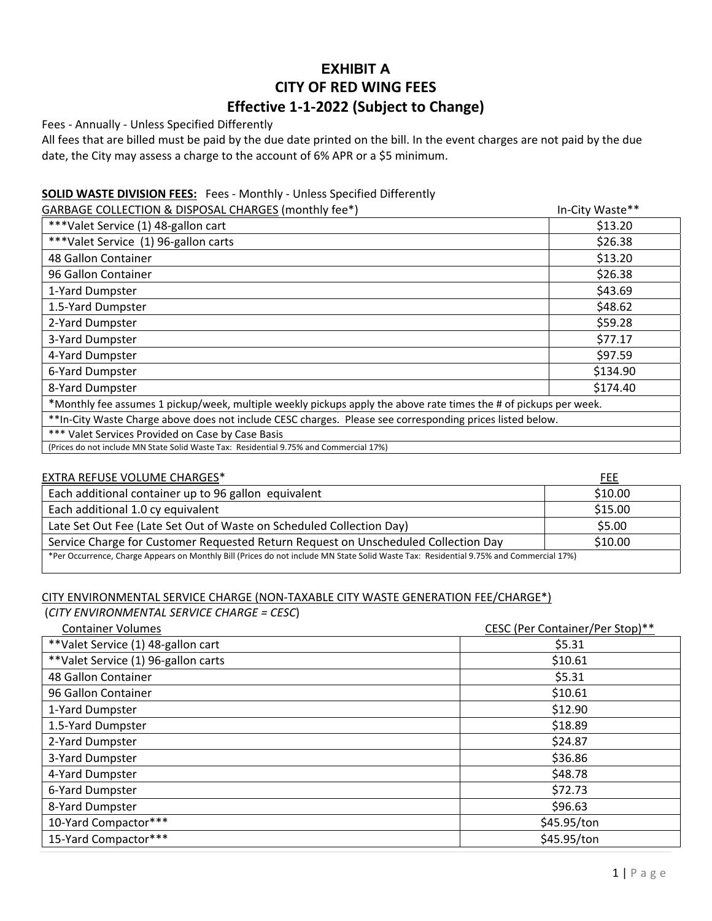# **EXHIBIT A CITY OF RED WING FEES Effective 1‐1‐2022 (Subject to Change)**

Fees ‐ Annually ‐ Unless Specified Differently

All fees that are billed must be paid by the due date printed on the bill. In the event charges are not paid by the due date, the City may assess a charge to the account of 6% APR or a \$5 minimum.

## **SOLID WASTE DIVISION FEES:** Fees ‐ Monthly ‐ Unless Specified Differently

| GARBAGE COLLECTION & DISPOSAL CHARGES (monthly fee*)                                                              | In-City Waste** |
|-------------------------------------------------------------------------------------------------------------------|-----------------|
| *** Valet Service (1) 48-gallon cart                                                                              | \$13.20         |
| ***Valet Service (1) 96-gallon carts                                                                              | \$26.38         |
| 48 Gallon Container                                                                                               | \$13.20         |
| 96 Gallon Container                                                                                               | \$26.38         |
| 1-Yard Dumpster                                                                                                   | \$43.69         |
| 1.5-Yard Dumpster                                                                                                 | \$48.62         |
| 2-Yard Dumpster                                                                                                   | \$59.28         |
| 3-Yard Dumpster                                                                                                   | \$77.17         |
| 4-Yard Dumpster                                                                                                   | \$97.59         |
| 6-Yard Dumpster                                                                                                   | \$134.90        |
| 8-Yard Dumpster                                                                                                   | \$174.40        |
| *Monthly fee assumes 1 pickup/week, multiple weekly pickups apply the above rate times the # of pickups per week. |                 |
| ** In-City Waste Charge above does not include CESC charges. Please see corresponding prices listed below.        |                 |
| *** Valet Services Provided on Case by Case Basis                                                                 |                 |
| (Prices do not include MN State Solid Waste Tax: Residential 9.75% and Commercial 17%)                            |                 |

#### EXTRA REFUSE VOLUME CHARGES\* FEE

|                                                                                                                                        | .       |  |
|----------------------------------------------------------------------------------------------------------------------------------------|---------|--|
| Each additional container up to 96 gallon equivalent                                                                                   | \$10.00 |  |
| Each additional 1.0 cy equivalent                                                                                                      | \$15.00 |  |
| Late Set Out Fee (Late Set Out of Waste on Scheduled Collection Day)                                                                   | \$5.00  |  |
| Service Charge for Customer Requested Return Request on Unscheduled Collection Day                                                     | \$10.00 |  |
| *Per Occurrence, Charge Appears on Monthly Bill (Prices do not include MN State Solid Waste Tax: Residential 9.75% and Commercial 17%) |         |  |

# CITY ENVIRONMENTAL SERVICE CHARGE (NON‐TAXABLE CITY WASTE GENERATION FEE/CHARGE\*)

(*CITY ENVIRONMENTAL SERVICE CHARGE = CESC*)

| <b>Container Volumes</b>            | CESC (Per Container/Per Stop)** |
|-------------------------------------|---------------------------------|
| **Valet Service (1) 48-gallon cart  | \$5.31                          |
| **Valet Service (1) 96-gallon carts | \$10.61                         |
| 48 Gallon Container                 | \$5.31                          |
| 96 Gallon Container                 | \$10.61                         |
| 1-Yard Dumpster                     | \$12.90                         |
| 1.5-Yard Dumpster                   | \$18.89                         |
| 2-Yard Dumpster                     | \$24.87                         |
| 3-Yard Dumpster                     | \$36.86                         |
| 4-Yard Dumpster                     | \$48.78                         |
| 6-Yard Dumpster                     | \$72.73                         |
| 8-Yard Dumpster                     | \$96.63                         |
| 10-Yard Compactor***                | \$45.95/ton                     |
| 15-Yard Compactor***                | \$45.95/ton                     |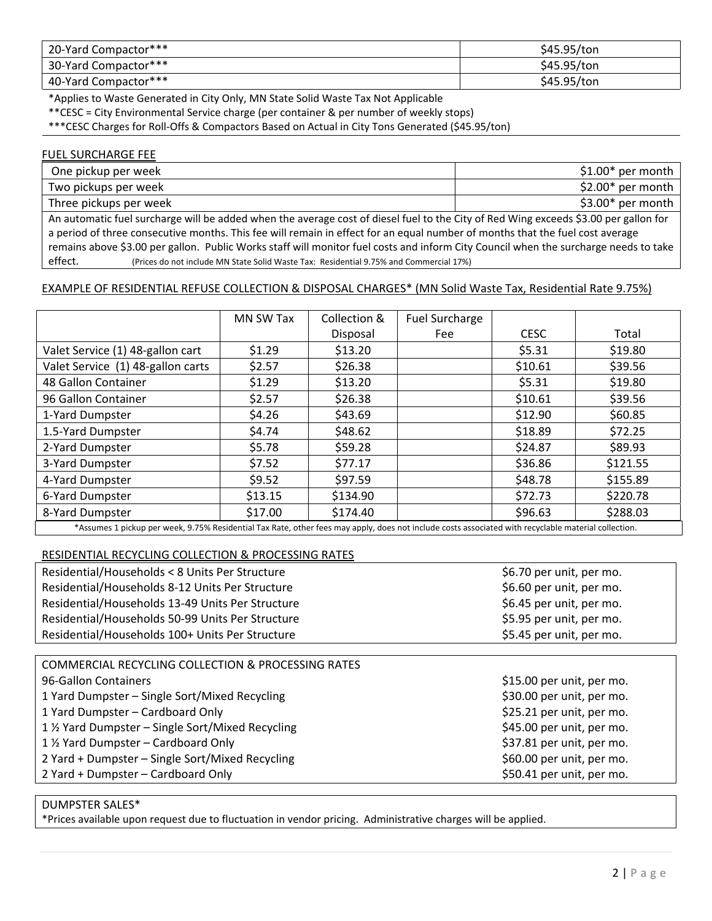| 20-Yard Compactor*** | \$45.95/ton |
|----------------------|-------------|
| 30-Yard Compactor*** | \$45.95/ton |
| 40-Yard Compactor*** | \$45.95/ton |

\*Applies to Waste Generated in City Only, MN State Solid Waste Tax Not Applicable

\*\*CESC = City Environmental Service charge (per container & per number of weekly stops)

\*\*\*CESC Charges for Roll‐Offs & Compactors Based on Actual in City Tons Generated (\$45.95/ton)

#### FUEL SURCHARGE FEE

| One pickup per week                                                                                                                  | $$1.00*$ per month |  |
|--------------------------------------------------------------------------------------------------------------------------------------|--------------------|--|
| Two pickups per week                                                                                                                 | $$2.00*$ per month |  |
| Three pickups per week                                                                                                               | $$3.00*$ per month |  |
| An automatic fuel surcharge will be added when the average cost of diesel fuel to the City of Red Wing exceeds \$3.00 per gallon for |                    |  |
| a period of three consecutive months. This fee will remain in effect for an equal number of months that the fuel cost average        |                    |  |

remains above \$3.00 per gallon. Public Works staff will monitor fuel costs and inform City Council when the surcharge needs to take

effect. (Prices do not include MN State Solid Waste Tax: Residential 9.75% and Commercial 17%) EXAMPLE OF RESIDENTIAL REFUSE COLLECTION & DISPOSAL CHARGES\* (MN Solid Waste Tax, Residential Rate 9.75%)

# MN SW Tax | Collection & Disposal Fuel Surcharge Fee I CESC I Total Valet Service (1) 48-gallon cart  $\begin{vmatrix} 51.29 & 513.20 \end{vmatrix}$  \$13.20  $\begin{vmatrix} 5.31 & 5.31 \end{vmatrix}$  \$19.80 Valet Service (1) 48-gallon carts  $\vert$  \$2.57  $\vert$  \$26.38  $\vert$  \$10.61  $\vert$  \$39.56 48 Gallon Container \$1.29 \$13.20 \$5.31 \$19.80 96 Gallon Container \$2.57 \$26.38 \$10.61 \$39.56 1‐Yard Dumpster \$4.26 \$43.69 \$12.90 \$60.85 1.5-Yard Dumpster | \$4.74 | \$48.62 | \$18.89 | \$72.25 2-Yard Dumpster | \$5.78 | \$59.28 | | \$24.87 | \$89.93 3-Yard Dumpster | \$7.52 | \$77.17 | | \$36.86 | \$121.55 4‐Yard Dumpster \$9.52 \$97.59 \$48.78 \$155.89 6‐Yard Dumpster \$13.15 \$134.90 \$72.73 \$220.78 8-Yard Dumpster | \$17.00 | \$174.40 | \$96.63 | \$288.03

\*Assumes 1 pickup per week, 9.75% Residential Tax Rate, other fees may apply, does not include costs associated with recyclable material collection.

#### RESIDENTIAL RECYCLING COLLECTION & PROCESSING RATES

| Residential/Households < 8 Units Per Structure   | \$6.70 per unit, per mo. |
|--------------------------------------------------|--------------------------|
| Residential/Households 8-12 Units Per Structure  | \$6.60 per unit, per mo. |
| Residential/Households 13-49 Units Per Structure | \$6.45 per unit, per mo. |
| Residential/Households 50-99 Units Per Structure | \$5.95 per unit, per mo. |
| Residential/Households 100+ Units Per Structure  | \$5.45 per unit, per mo. |

| <b>COMMERCIAL RECYCLING COLLECTION &amp; PROCESSING RATES</b> |                           |
|---------------------------------------------------------------|---------------------------|
| 96-Gallon Containers                                          | \$15.00 per unit, per mo. |
| 1 Yard Dumpster - Single Sort/Mixed Recycling                 | \$30.00 per unit, per mo. |
| 1 Yard Dumpster - Cardboard Only                              | \$25.21 per unit, per mo. |
| 1 1/2 Yard Dumpster – Single Sort/Mixed Recycling             | \$45.00 per unit, per mo. |
| 1 1/2 Yard Dumpster - Cardboard Only                          | \$37.81 per unit, per mo. |
| 2 Yard + Dumpster - Single Sort/Mixed Recycling               | \$60.00 per unit, per mo. |
| 2 Yard + Dumpster - Cardboard Only                            | \$50.41 per unit, per mo. |
|                                                               |                           |

#### DUMPSTER SALES\*

\*Prices available upon request due to fluctuation in vendor pricing. Administrative charges will be applied.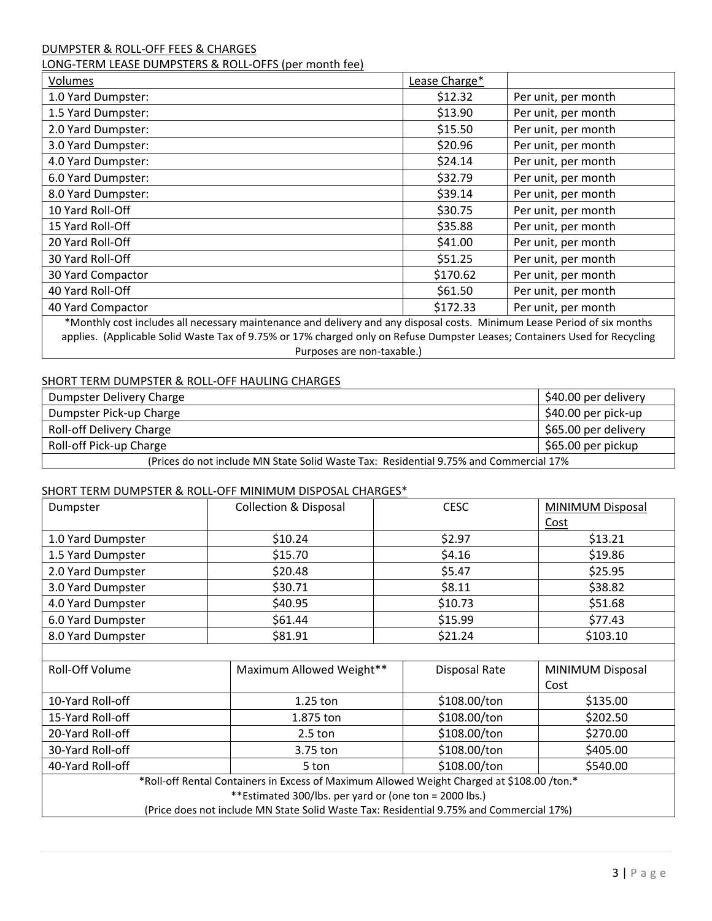# DUMPSTER & ROLL‐OFF FEES & CHARGES

### LONG‐TERM LEASE DUMPSTERS & ROLL‐OFFS (per month fee)

| Volumes                                                                                                                    | Lease Charge* |                     |
|----------------------------------------------------------------------------------------------------------------------------|---------------|---------------------|
| 1.0 Yard Dumpster:                                                                                                         | \$12.32       | Per unit, per month |
| 1.5 Yard Dumpster:                                                                                                         | \$13.90       | Per unit, per month |
| 2.0 Yard Dumpster:                                                                                                         | \$15.50       | Per unit, per month |
| 3.0 Yard Dumpster:                                                                                                         | \$20.96       | Per unit, per month |
| 4.0 Yard Dumpster:                                                                                                         | \$24.14       | Per unit, per month |
| 6.0 Yard Dumpster:                                                                                                         | \$32.79       | Per unit, per month |
| 8.0 Yard Dumpster:                                                                                                         | \$39.14       | Per unit, per month |
| 10 Yard Roll-Off                                                                                                           | \$30.75       | Per unit, per month |
| 15 Yard Roll-Off                                                                                                           | \$35.88       | Per unit, per month |
| 20 Yard Roll-Off                                                                                                           | \$41.00       | Per unit, per month |
| 30 Yard Roll-Off                                                                                                           | \$51.25       | Per unit, per month |
| 30 Yard Compactor                                                                                                          | \$170.62      | Per unit, per month |
| 40 Yard Roll-Off                                                                                                           | \$61.50       | Per unit, per month |
| 40 Yard Compactor                                                                                                          | \$172.33      | Per unit, per month |
| *Monthly cost includes all necessary maintenance and delivery and any disposal costs. Minimum Lease Period of six months   |               |                     |
| applies. (Applicable Solid Waste Tax of 9.75% or 17% charged only on Refuse Dumpster Leases; Containers Used for Recycling |               |                     |
| Purposes are non-taxable.)                                                                                                 |               |                     |

#### SHORT TERM DUMPSTER & ROLL‐OFF HAULING CHARGES

| Dumpster Delivery Charge                                                               | \$40.00 per delivery |  |
|----------------------------------------------------------------------------------------|----------------------|--|
| Dumpster Pick-up Charge                                                                | \$40.00 per pick-up  |  |
| Roll-off Delivery Charge                                                               | \$65.00 per delivery |  |
| Roll-off Pick-up Charge                                                                | \$65.00 per pickup   |  |
| (Prices do not include MN State Solid Waste Tax: Residential 9.75% and Commercial 17%) |                      |  |

#### SHORT TERM DUMPSTER & ROLL‐OFF MINIMUM DISPOSAL CHARGES\*

| Dumpster                                                                                   | <b>Collection &amp; Disposal</b> |  | <b>CESC</b>          | MINIMUM Disposal |
|--------------------------------------------------------------------------------------------|----------------------------------|--|----------------------|------------------|
|                                                                                            |                                  |  |                      | Cost             |
| 1.0 Yard Dumpster                                                                          | \$10.24                          |  | \$2.97               | \$13.21          |
| 1.5 Yard Dumpster                                                                          | \$15.70                          |  | \$4.16               | \$19.86          |
| 2.0 Yard Dumpster                                                                          | \$20.48                          |  | \$5.47               | \$25.95          |
| 3.0 Yard Dumpster                                                                          | \$30.71                          |  | \$8.11               | \$38.82          |
| 4.0 Yard Dumpster                                                                          | \$40.95                          |  | \$10.73              | \$51.68          |
| 6.0 Yard Dumpster                                                                          | \$61.44                          |  | \$15.99              | \$77.43          |
| 8.0 Yard Dumpster                                                                          | \$81.91                          |  | \$21.24              | \$103.10         |
|                                                                                            |                                  |  |                      |                  |
| Roll-Off Volume                                                                            | Maximum Allowed Weight**         |  | <b>Disposal Rate</b> | MINIMUM Disposal |
|                                                                                            |                                  |  |                      | Cost             |
| 10-Yard Roll-off                                                                           | $1.25$ ton                       |  | \$108.00/ton         | \$135.00         |
| 15-Yard Roll-off                                                                           | 1.875 ton                        |  | \$108.00/ton         | \$202.50         |
| 20-Yard Roll-off                                                                           | $2.5$ ton                        |  | \$108.00/ton         | \$270.00         |
| 30-Yard Roll-off                                                                           | 3.75 ton                         |  | \$108.00/ton         | \$405.00         |
| 40-Yard Roll-off                                                                           | 5 ton                            |  | \$108.00/ton         | \$540.00         |
| *Roll-off Rental Containers in Excess of Maximum Allowed Weight Charged at \$108.00 /ton.* |                                  |  |                      |                  |
| **Estimated 300/lbs. per yard or (one ton = 2000 lbs.)                                     |                                  |  |                      |                  |
| (Price does not include MN State Solid Waste Tax: Residential 9.75% and Commercial 17%)    |                                  |  |                      |                  |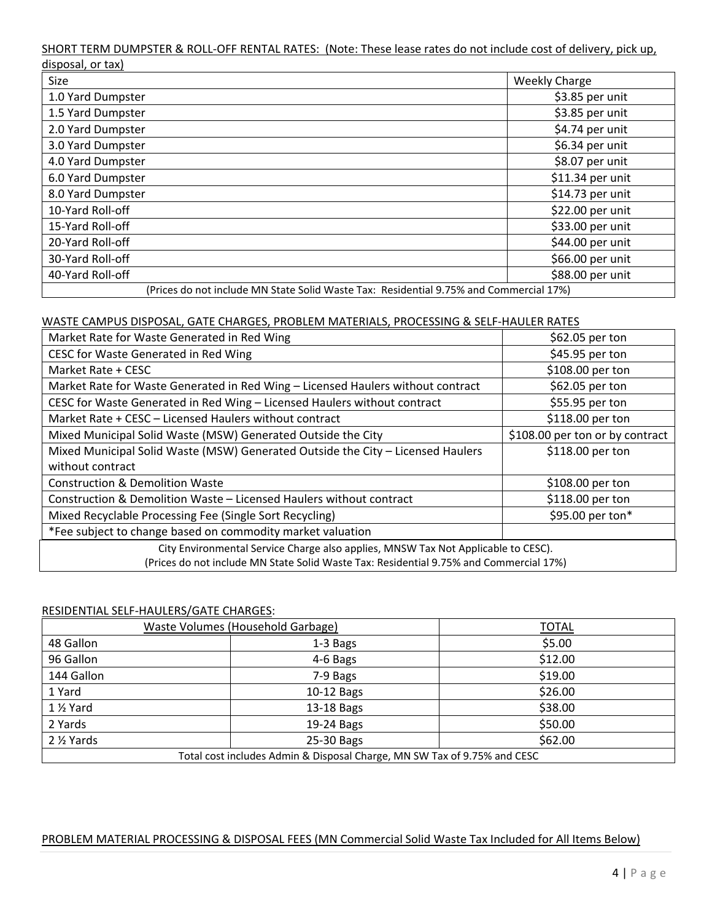#### SHORT TERM DUMPSTER & ROLL‐OFF RENTAL RATES: (Note: These lease rates do not include cost of delivery, pick up, disposal, or tax)

| uisposui, oi tunj<br>Size | <b>Weekly Charge</b>                                                                   |
|---------------------------|----------------------------------------------------------------------------------------|
| 1.0 Yard Dumpster         | \$3.85 per unit                                                                        |
| 1.5 Yard Dumpster         | \$3.85 per unit                                                                        |
| 2.0 Yard Dumpster         | \$4.74 per unit                                                                        |
| 3.0 Yard Dumpster         | \$6.34 per unit                                                                        |
| 4.0 Yard Dumpster         | \$8.07 per unit                                                                        |
| 6.0 Yard Dumpster         | \$11.34 per unit                                                                       |
| 8.0 Yard Dumpster         | \$14.73 per unit                                                                       |
| 10-Yard Roll-off          | \$22.00 per unit                                                                       |
| 15-Yard Roll-off          | \$33.00 per unit                                                                       |
| 20-Yard Roll-off          | \$44.00 per unit                                                                       |
| 30-Yard Roll-off          | \$66.00 per unit                                                                       |
| 40-Yard Roll-off          | \$88.00 per unit                                                                       |
|                           | (Prices do not include MN State Solid Waste Tax: Residential 9.75% and Commercial 17%) |

# WASTE CAMPUS DISPOSAL, GATE CHARGES, PROBLEM MATERIALS, PROCESSING & SELF‐HAULER RATES

| Market Rate for Waste Generated in Red Wing                                            | \$62.05 per ton                 |  |
|----------------------------------------------------------------------------------------|---------------------------------|--|
| CESC for Waste Generated in Red Wing                                                   | \$45.95 per ton                 |  |
| Market Rate + CESC                                                                     | \$108.00 per ton                |  |
| Market Rate for Waste Generated in Red Wing - Licensed Haulers without contract        | \$62.05 per ton                 |  |
| CESC for Waste Generated in Red Wing - Licensed Haulers without contract               | \$55.95 per ton                 |  |
| Market Rate + CESC - Licensed Haulers without contract                                 | \$118.00 per ton                |  |
| Mixed Municipal Solid Waste (MSW) Generated Outside the City                           | \$108.00 per ton or by contract |  |
| Mixed Municipal Solid Waste (MSW) Generated Outside the City - Licensed Haulers        | \$118.00 per ton                |  |
| without contract                                                                       |                                 |  |
| <b>Construction &amp; Demolition Waste</b>                                             | \$108.00 per ton                |  |
| Construction & Demolition Waste - Licensed Haulers without contract                    | \$118.00 per ton                |  |
| Mixed Recyclable Processing Fee (Single Sort Recycling)                                | \$95.00 per ton*                |  |
| *Fee subject to change based on commodity market valuation                             |                                 |  |
| City Environmental Service Charge also applies, MNSW Tax Not Applicable to CESC).      |                                 |  |
| (Prices do not include MN State Solid Waste Tax: Residential 9.75% and Commercial 17%) |                                 |  |

# RESIDENTIAL SELF‐HAULERS/GATE CHARGES:

| Waste Volumes (Household Garbage)                                        |            | <b>TOTAL</b> |
|--------------------------------------------------------------------------|------------|--------------|
| 48 Gallon                                                                | 1-3 Bags   | \$5.00       |
| 96 Gallon                                                                | 4-6 Bags   | \$12.00      |
| 144 Gallon                                                               | 7-9 Bags   | \$19.00      |
| 1 Yard                                                                   | 10-12 Bags | \$26.00      |
| 1 1/2 Yard                                                               | 13-18 Bags | \$38.00      |
| 2 Yards                                                                  | 19-24 Bags | \$50.00      |
| 2 1/2 Yards                                                              | 25-30 Bags | \$62.00      |
| Total cost includes Admin & Disposal Charge, MN SW Tax of 9.75% and CESC |            |              |

# PROBLEM MATERIAL PROCESSING & DISPOSAL FEES (MN Commercial Solid Waste Tax Included for All Items Below)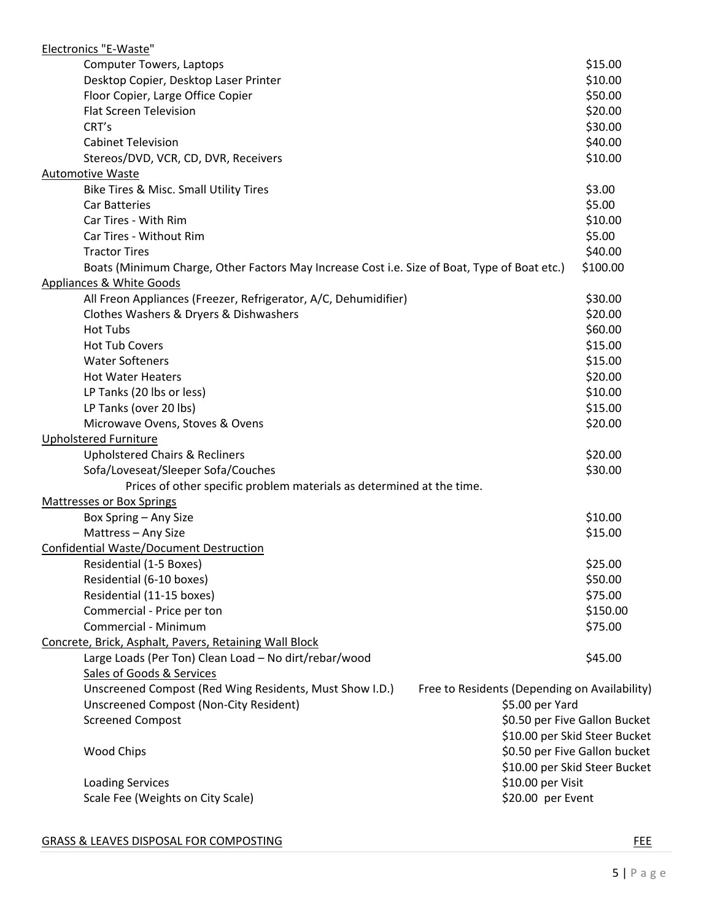| Electronics "E-Waste"                                                                        |                                               |
|----------------------------------------------------------------------------------------------|-----------------------------------------------|
| <b>Computer Towers, Laptops</b>                                                              | \$15.00                                       |
| Desktop Copier, Desktop Laser Printer                                                        | \$10.00                                       |
| Floor Copier, Large Office Copier                                                            | \$50.00                                       |
| <b>Flat Screen Television</b>                                                                | \$20.00                                       |
| CRT's                                                                                        | \$30.00                                       |
| <b>Cabinet Television</b>                                                                    | \$40.00                                       |
| Stereos/DVD, VCR, CD, DVR, Receivers                                                         | \$10.00                                       |
| <b>Automotive Waste</b>                                                                      |                                               |
| Bike Tires & Misc. Small Utility Tires                                                       | \$3.00                                        |
| <b>Car Batteries</b>                                                                         | \$5.00                                        |
| Car Tires - With Rim                                                                         | \$10.00                                       |
| Car Tires - Without Rim                                                                      | \$5.00                                        |
| <b>Tractor Tires</b>                                                                         | \$40.00                                       |
| Boats (Minimum Charge, Other Factors May Increase Cost i.e. Size of Boat, Type of Boat etc.) | \$100.00                                      |
| Appliances & White Goods                                                                     |                                               |
| All Freon Appliances (Freezer, Refrigerator, A/C, Dehumidifier)                              | \$30.00                                       |
| Clothes Washers & Dryers & Dishwashers                                                       | \$20.00                                       |
| <b>Hot Tubs</b>                                                                              | \$60.00                                       |
| <b>Hot Tub Covers</b>                                                                        | \$15.00                                       |
| <b>Water Softeners</b>                                                                       | \$15.00                                       |
| <b>Hot Water Heaters</b>                                                                     | \$20.00                                       |
| LP Tanks (20 lbs or less)                                                                    | \$10.00                                       |
| LP Tanks (over 20 lbs)                                                                       | \$15.00                                       |
| Microwave Ovens, Stoves & Ovens                                                              | \$20.00                                       |
| <b>Upholstered Furniture</b>                                                                 |                                               |
| <b>Upholstered Chairs &amp; Recliners</b>                                                    | \$20.00                                       |
| Sofa/Loveseat/Sleeper Sofa/Couches                                                           | \$30.00                                       |
| Prices of other specific problem materials as determined at the time.                        |                                               |
| <b>Mattresses or Box Springs</b>                                                             |                                               |
| Box Spring - Any Size                                                                        | \$10.00                                       |
| Mattress - Any Size                                                                          | \$15.00                                       |
| <b>Confidential Waste/Document Destruction</b>                                               |                                               |
| Residential (1-5 Boxes)                                                                      | \$25.00                                       |
| Residential (6-10 boxes)                                                                     | \$50.00                                       |
| Residential (11-15 boxes)                                                                    | \$75.00                                       |
| Commercial - Price per ton                                                                   | \$150.00                                      |
| Commercial - Minimum                                                                         | \$75.00                                       |
| Concrete, Brick, Asphalt, Pavers, Retaining Wall Block                                       |                                               |
| Large Loads (Per Ton) Clean Load - No dirt/rebar/wood                                        | \$45.00                                       |
| Sales of Goods & Services                                                                    |                                               |
| Unscreened Compost (Red Wing Residents, Must Show I.D.)                                      | Free to Residents (Depending on Availability) |
| Unscreened Compost (Non-City Resident)                                                       | \$5.00 per Yard                               |
| <b>Screened Compost</b>                                                                      | \$0.50 per Five Gallon Bucket                 |
|                                                                                              | \$10.00 per Skid Steer Bucket                 |
| Wood Chips                                                                                   | \$0.50 per Five Gallon bucket                 |
|                                                                                              | \$10.00 per Skid Steer Bucket                 |
| <b>Loading Services</b>                                                                      | \$10.00 per Visit                             |
| Scale Fee (Weights on City Scale)                                                            | \$20.00 per Event                             |